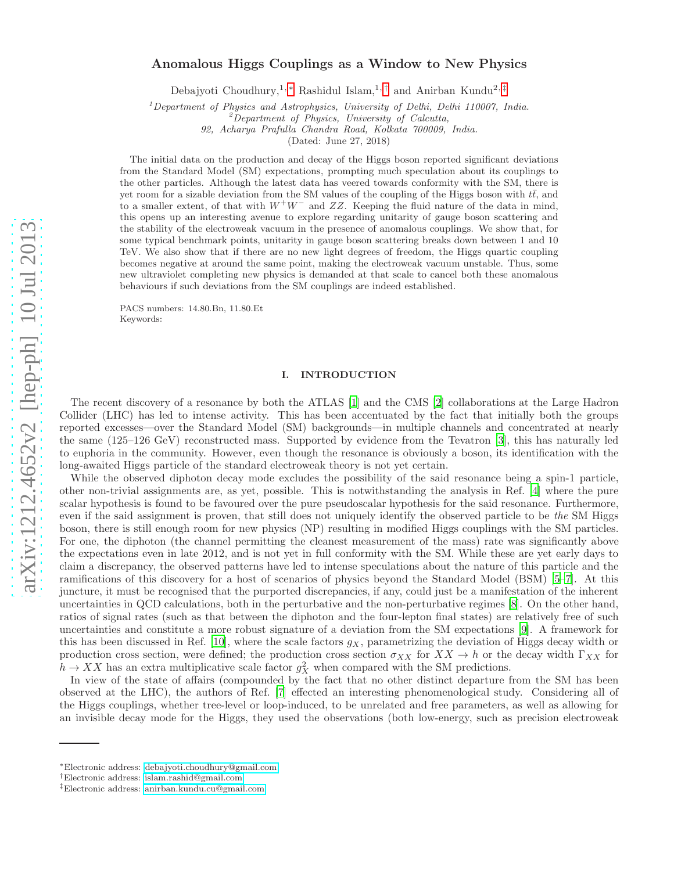# Anomalous Higgs Couplings as a Window to New Physics

Debajyoti Choudhury,<sup>1, \*</sup> Rashidul Islam,<sup>1,[†](#page-0-1)</sup> and Anirban Kundu<sup>2,[‡](#page-0-2)</sup>

 $1$ Department of Physics and Astrophysics, University of Delhi, Delhi 110007, India.

 ${}^{2}$ Department of Physics, University of Calcutta,

92, Acharya Prafulla Chandra Road, Kolkata 700009, India.

(Dated: June 27, 2018)

The initial data on the production and decay of the Higgs boson reported significant deviations from the Standard Model (SM) expectations, prompting much speculation about its couplings to the other particles. Although the latest data has veered towards conformity with the SM, there is yet room for a sizable deviation from the SM values of the coupling of the Higgs boson with  $t\bar{t}$ , and to a smaller extent, of that with  $W^+W^-$  and ZZ. Keeping the fluid nature of the data in mind, this opens up an interesting avenue to explore regarding unitarity of gauge boson scattering and the stability of the electroweak vacuum in the presence of anomalous couplings. We show that, for some typical benchmark points, unitarity in gauge boson scattering breaks down between 1 and 10 TeV. We also show that if there are no new light degrees of freedom, the Higgs quartic coupling becomes negative at around the same point, making the electroweak vacuum unstable. Thus, some new ultraviolet completing new physics is demanded at that scale to cancel both these anomalous behaviours if such deviations from the SM couplings are indeed established.

PACS numbers: 14.80.Bn, 11.80.Et Keywords:

### I. INTRODUCTION

The recent discovery of a resonance by both the ATLAS [\[1](#page-13-0)] and the CMS [\[2\]](#page-13-1) collaborations at the Large Hadron Collider (LHC) has led to intense activity. This has been accentuated by the fact that initially both the groups reported excesses—over the Standard Model (SM) backgrounds—in multiple channels and concentrated at nearly the same (125–126 GeV) reconstructed mass. Supported by evidence from the Tevatron [\[3\]](#page-13-2), this has naturally led to euphoria in the community. However, even though the resonance is obviously a boson, its identification with the long-awaited Higgs particle of the standard electroweak theory is not yet certain.

While the observed diphoton decay mode excludes the possibility of the said resonance being a spin-1 particle, other non-trivial assignments are, as yet, possible. This is notwithstanding the analysis in Ref. [\[4\]](#page-13-3) where the pure scalar hypothesis is found to be favoured over the pure pseudoscalar hypothesis for the said resonance. Furthermore, even if the said assignment is proven, that still does not uniquely identify the observed particle to be the SM Higgs boson, there is still enough room for new physics (NP) resulting in modified Higgs couplings with the SM particles. For one, the diphoton (the channel permitting the cleanest measurement of the mass) rate was significantly above the expectations even in late 2012, and is not yet in full conformity with the SM. While these are yet early days to claim a discrepancy, the observed patterns have led to intense speculations about the nature of this particle and the ramifications of this discovery for a host of scenarios of physics beyond the Standard Model (BSM) [\[5](#page-13-4)[–7\]](#page-14-0). At this juncture, it must be recognised that the purported discrepancies, if any, could just be a manifestation of the inherent uncertainties in QCD calculations, both in the perturbative and the non-perturbative regimes [\[8](#page-14-1)]. On the other hand, ratios of signal rates (such as that between the diphoton and the four-lepton final states) are relatively free of such uncertainties and constitute a more robust signature of a deviation from the SM expectations [\[9\]](#page-14-2). A framework for this has been discussed in Ref. [\[10\]](#page-14-3), where the scale factors  $g_X$ , parametrizing the deviation of Higgs decay width or production cross section, were defined; the production cross section  $\sigma_{XX}$  for  $XX \to h$  or the decay width  $\Gamma_{XX}$  for  $h \to XX$  has an extra multiplicative scale factor  $g_X^2$  when compared with the SM predictions.

In view of the state of affairs (compounded by the fact that no other distinct departure from the SM has been observed at the LHC), the authors of Ref. [\[7\]](#page-14-0) effected an interesting phenomenological study. Considering all of the Higgs couplings, whether tree-level or loop-induced, to be unrelated and free parameters, as well as allowing for an invisible decay mode for the Higgs, they used the observations (both low-energy, such as precision electroweak

<span id="page-0-0"></span><sup>∗</sup>Electronic address: [debajyoti.choudhury@gmail.com](mailto:debajyoti.choudhury@gmail.com)

<span id="page-0-1"></span><sup>†</sup>Electronic address: [islam.rashid@gmail.com](mailto:islam.rashid@gmail.com)

<span id="page-0-2"></span><sup>‡</sup>Electronic address: [anirban.kundu.cu@gmail.com](mailto:anirban.kundu.cu@gmail.com)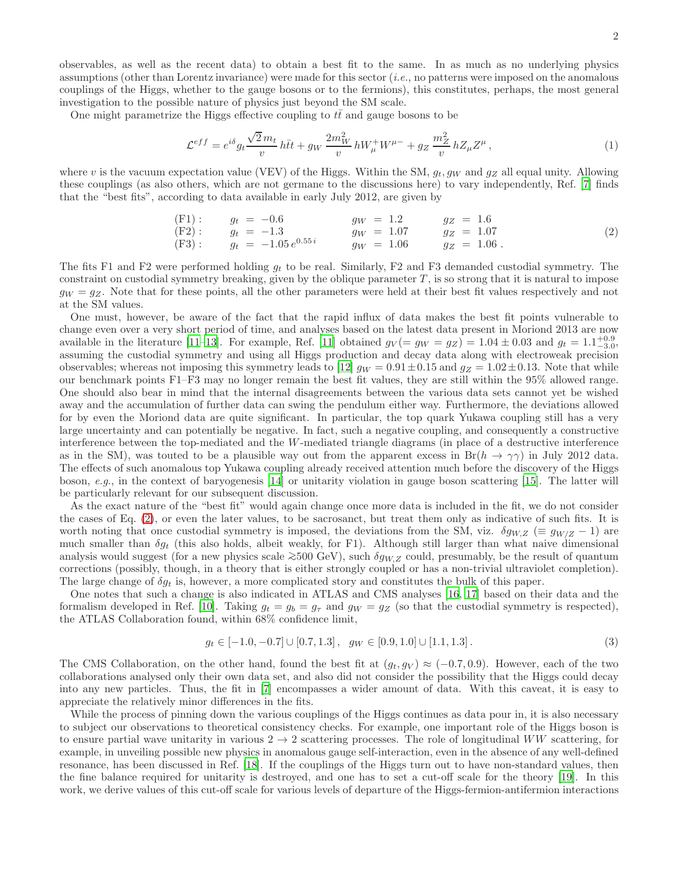observables, as well as the recent data) to obtain a best fit to the same. In as much as no underlying physics assumptions (other than Lorentz invariance) were made for this sector  $(i.e.,$  no patterns were imposed on the anomalous couplings of the Higgs, whether to the gauge bosons or to the fermions), this constitutes, perhaps, the most general investigation to the possible nature of physics just beyond the SM scale.

One might parametrize the Higgs effective coupling to  $t\bar{t}$  and gauge bosons to be

<span id="page-1-1"></span>
$$
\mathcal{L}^{eff} = e^{i\delta} g_t \frac{\sqrt{2} m_t}{v} h \bar{t} t + g_W \frac{2m_W^2}{v} h W^+_\mu W^{\mu -} + g_Z \frac{m_Z^2}{v} h Z_\mu Z^\mu , \tag{1}
$$

where v is the vacuum expectation value (VEV) of the Higgs. Within the SM,  $g_t$ ,  $g_W$  and  $g_Z$  all equal unity. Allowing these couplings (as also others, which are not germane to the discussions here) to vary independently, Ref. [\[7](#page-14-0)] finds that the "best fits", according to data available in early July 2012, are given by

<span id="page-1-0"></span>(F1): 
$$
g_t = -0.6
$$
  
\n(F2):  $g_t = -1.3$   
\n(F3):  $g_t = -1.05 e^{0.55 i}$   
\n $g_W = 1.07$   
\n $g_W = 1.07$   
\n $g_Z = 1.07$   
\n $g_Z = 1.07$   
\n $g_Z = 1.07$   
\n $g_Z = 1.07$   
\n $g_Z = 1.07$ 

The fits F1 and F2 were performed holding  $g_t$  to be real. Similarly, F2 and F3 demanded custodial symmetry. The constraint on custodial symmetry breaking, given by the oblique parameter  $T$ , is so strong that it is natural to impose  $g_W = g_Z$ . Note that for these points, all the other parameters were held at their best fit values respectively and not at the SM values.

One must, however, be aware of the fact that the rapid influx of data makes the best fit points vulnerable to change even over a very short period of time, and analyses based on the latest data present in Moriond 2013 are now available in the literature [\[11](#page-14-4)[–13\]](#page-14-5). For example, Ref. [\[11\]](#page-14-4) obtained  $g_V (= g_W = g_Z) = 1.04 \pm 0.03$  and  $g_t = 1.1^{+0.9}_{-3.0}$ , assuming the custodial symmetry and using all Higgs production and decay data along with electroweak precision observables; whereas not imposing this symmetry leads to [\[12\]](#page-14-6)  $g_W = 0.91 \pm 0.15$  and  $g_Z = 1.02 \pm 0.13$ . Note that while our benchmark points F1–F3 may no longer remain the best fit values, they are still within the 95% allowed range. One should also bear in mind that the internal disagreements between the various data sets cannot yet be wished away and the accumulation of further data can swing the pendulum either way. Furthermore, the deviations allowed for by even the Moriond data are quite significant. In particular, the top quark Yukawa coupling still has a very large uncertainty and can potentially be negative. In fact, such a negative coupling, and consequently a constructive interference between the top-mediated and the W-mediated triangle diagrams (in place of a destructive interference as in the SM), was touted to be a plausible way out from the apparent excess in  $Br(h \to \gamma\gamma)$  in July 2012 data. The effects of such anomalous top Yukawa coupling already received attention much before the discovery of the Higgs boson, e.g., in the context of baryogenesis [\[14\]](#page-14-7) or unitarity violation in gauge boson scattering [\[15](#page-14-8)]. The latter will be particularly relevant for our subsequent discussion.

As the exact nature of the "best fit" would again change once more data is included in the fit, we do not consider the cases of Eq. [\(2\)](#page-1-0), or even the later values, to be sacrosanct, but treat them only as indicative of such fits. It is worth noting that once custodial symmetry is imposed, the deviations from the SM, viz.  $\delta g_{W,Z}$  ( $\equiv g_{W/Z} - 1$ ) are much smaller than  $\delta g_t$  (this also holds, albeit weakly, for F1). Although still larger than what naive dimensional analysis would suggest (for a new physics scale  $\gtrsim 500$  GeV), such  $\delta g_{W,Z}$  could, presumably, be the result of quantum corrections (possibly, though, in a theory that is either strongly coupled or has a non-trivial ultraviolet completion). The large change of  $\delta g_t$  is, however, a more complicated story and constitutes the bulk of this paper.

One notes that such a change is also indicated in ATLAS and CMS analyses [\[16](#page-14-9), [17](#page-14-10)] based on their data and the formalism developed in Ref. [\[10\]](#page-14-3). Taking  $g_t = g_b = g_\tau$  and  $g_W = g_Z$  (so that the custodial symmetry is respected), the ATLAS Collaboration found, within 68% confidence limit,

$$
g_t \in [-1.0, -0.7] \cup [0.7, 1.3], \quad g_W \in [0.9, 1.0] \cup [1.1, 1.3]. \tag{3}
$$

The CMS Collaboration, on the other hand, found the best fit at  $(q_t, q_V) \approx (-0.7, 0.9)$ . However, each of the two collaborations analysed only their own data set, and also did not consider the possibility that the Higgs could decay into any new particles. Thus, the fit in [\[7\]](#page-14-0) encompasses a wider amount of data. With this caveat, it is easy to appreciate the relatively minor differences in the fits.

While the process of pinning down the various couplings of the Higgs continues as data pour in, it is also necessary to subject our observations to theoretical consistency checks. For example, one important role of the Higgs boson is to ensure partial wave unitarity in various  $2 \rightarrow 2$  scattering processes. The role of longitudinal WW scattering, for example, in unveiling possible new physics in anomalous gauge self-interaction, even in the absence of any well-defined resonance, has been discussed in Ref. [\[18\]](#page-14-11). If the couplings of the Higgs turn out to have non-standard values, then the fine balance required for unitarity is destroyed, and one has to set a cut-off scale for the theory [\[19\]](#page-14-12). In this work, we derive values of this cut-off scale for various levels of departure of the Higgs-fermion-antifermion interactions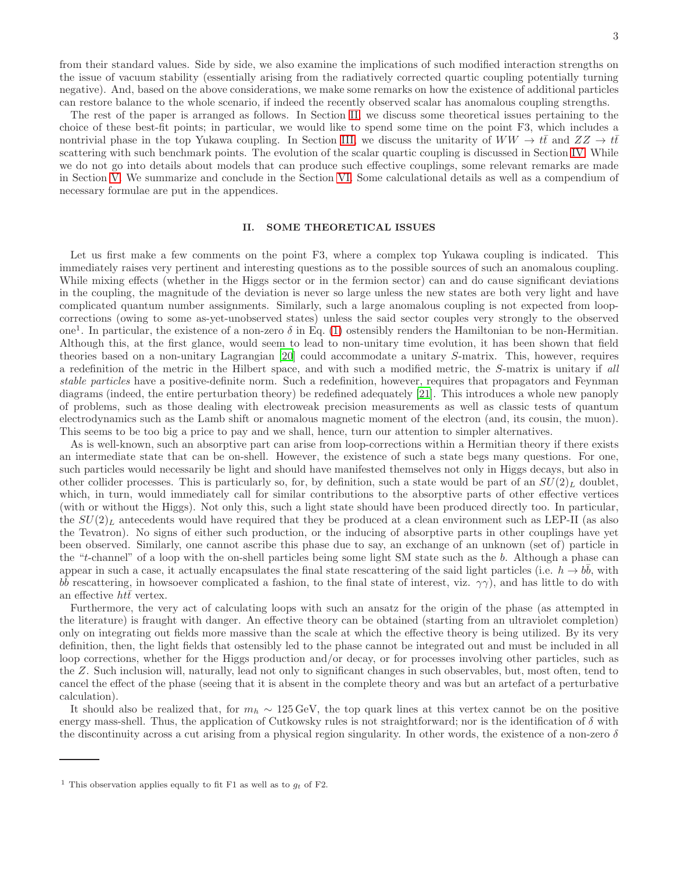from their standard values. Side by side, we also examine the implications of such modified interaction strengths on the issue of vacuum stability (essentially arising from the radiatively corrected quartic coupling potentially turning negative). And, based on the above considerations, we make some remarks on how the existence of additional particles can restore balance to the whole scenario, if indeed the recently observed scalar has anomalous coupling strengths.

The rest of the paper is arranged as follows. In Section [II,](#page-2-0) we discuss some theoretical issues pertaining to the choice of these best-fit points; in particular, we would like to spend some time on the point F3, which includes a nontrivial phase in the top Yukawa coupling. In Section [III,](#page-3-0) we discuss the unitarity of  $WW \to t\bar{t}$  and  $ZZ \to t\bar{t}$ scattering with such benchmark points. The evolution of the scalar quartic coupling is discussed in Section [IV.](#page-7-0) While we do not go into details about models that can produce such effective couplings, some relevant remarks are made in Section [V.](#page-8-0) We summarize and conclude in the Section [VI.](#page-10-0) Some calculational details as well as a compendium of necessary formulae are put in the appendices.

### <span id="page-2-0"></span>II. SOME THEORETICAL ISSUES

Let us first make a few comments on the point F3, where a complex top Yukawa coupling is indicated. This immediately raises very pertinent and interesting questions as to the possible sources of such an anomalous coupling. While mixing effects (whether in the Higgs sector or in the fermion sector) can and do cause significant deviations in the coupling, the magnitude of the deviation is never so large unless the new states are both very light and have complicated quantum number assignments. Similarly, such a large anomalous coupling is not expected from loopcorrections (owing to some as-yet-unobserved states) unless the said sector couples very strongly to the observed one<sup>1</sup>. In particular, the existence of a non-zero  $\delta$  in Eq. [\(1\)](#page-1-1) ostensibly renders the Hamiltonian to be non-Hermitian. Although this, at the first glance, would seem to lead to non-unitary time evolution, it has been shown that field theories based on a non-unitary Lagrangian [\[20](#page-14-13)] could accommodate a unitary S-matrix. This, however, requires a redefinition of the metric in the Hilbert space, and with such a modified metric, the S-matrix is unitary if all stable particles have a positive-definite norm. Such a redefinition, however, requires that propagators and Feynman diagrams (indeed, the entire perturbation theory) be redefined adequately [\[21\]](#page-14-14). This introduces a whole new panoply of problems, such as those dealing with electroweak precision measurements as well as classic tests of quantum electrodynamics such as the Lamb shift or anomalous magnetic moment of the electron (and, its cousin, the muon). This seems to be too big a price to pay and we shall, hence, turn our attention to simpler alternatives.

As is well-known, such an absorptive part can arise from loop-corrections within a Hermitian theory if there exists an intermediate state that can be on-shell. However, the existence of such a state begs many questions. For one, such particles would necessarily be light and should have manifested themselves not only in Higgs decays, but also in other collider processes. This is particularly so, for, by definition, such a state would be part of an  $SU(2)_L$  doublet, which, in turn, would immediately call for similar contributions to the absorptive parts of other effective vertices (with or without the Higgs). Not only this, such a light state should have been produced directly too. In particular, the  $SU(2)_L$  antecedents would have required that they be produced at a clean environment such as LEP-II (as also the Tevatron). No signs of either such production, or the inducing of absorptive parts in other couplings have yet been observed. Similarly, one cannot ascribe this phase due to say, an exchange of an unknown (set of) particle in the "t-channel" of a loop with the on-shell particles being some light SM state such as the b. Although a phase can appear in such a case, it actually encapsulates the final state rescattering of the said light particles (i.e.  $h \to b\bar{b}$ , with  $b\bar{b}$  rescattering, in howsoever complicated a fashion, to the final state of interest, viz.  $\gamma\gamma$ ), and has little to do with an effective  $ht\bar{t}$  vertex.

Furthermore, the very act of calculating loops with such an ansatz for the origin of the phase (as attempted in the literature) is fraught with danger. An effective theory can be obtained (starting from an ultraviolet completion) only on integrating out fields more massive than the scale at which the effective theory is being utilized. By its very definition, then, the light fields that ostensibly led to the phase cannot be integrated out and must be included in all loop corrections, whether for the Higgs production and/or decay, or for processes involving other particles, such as the Z. Such inclusion will, naturally, lead not only to significant changes in such observables, but, most often, tend to cancel the effect of the phase (seeing that it is absent in the complete theory and was but an artefact of a perturbative calculation).

It should also be realized that, for  $m_h \sim 125 \,\text{GeV}$ , the top quark lines at this vertex cannot be on the positive energy mass-shell. Thus, the application of Cutkowsky rules is not straightforward; nor is the identification of  $\delta$  with the discontinuity across a cut arising from a physical region singularity. In other words, the existence of a non-zero  $\delta$ 

<sup>&</sup>lt;sup>1</sup> This observation applies equally to fit F1 as well as to  $q_t$  of F2.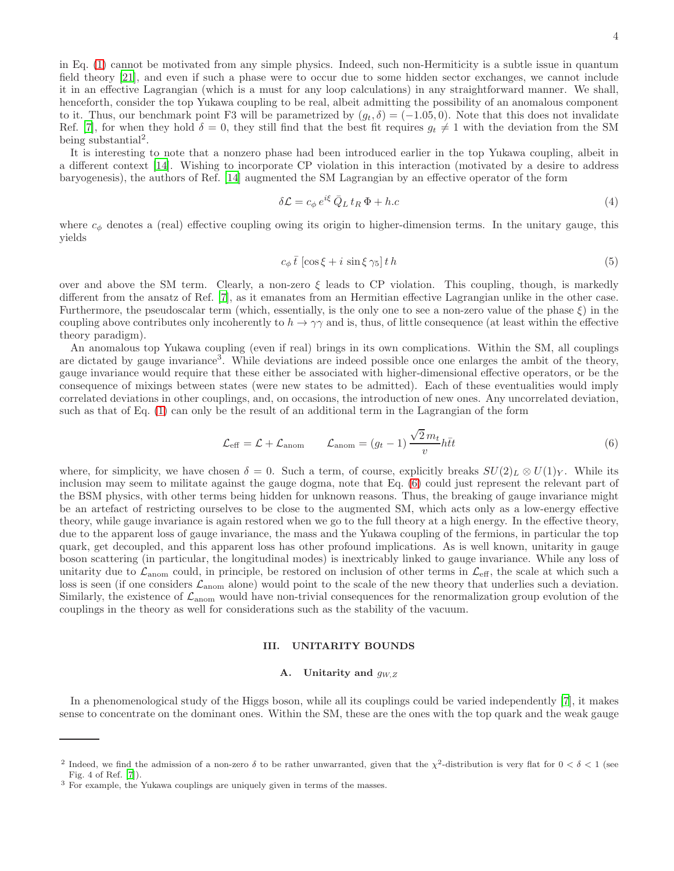in Eq. [\(1\)](#page-1-1) cannot be motivated from any simple physics. Indeed, such non-Hermiticity is a subtle issue in quantum field theory [\[21](#page-14-14)], and even if such a phase were to occur due to some hidden sector exchanges, we cannot include it in an effective Lagrangian (which is a must for any loop calculations) in any straightforward manner. We shall, henceforth, consider the top Yukawa coupling to be real, albeit admitting the possibility of an anomalous component to it. Thus, our benchmark point F3 will be parametrized by  $(g_t, \delta) = (-1.05, 0)$ . Note that this does not invalidate Ref. [\[7](#page-14-0)], for when they hold  $\delta = 0$ , they still find that the best fit requires  $g_t \neq 1$  with the deviation from the SM being substantial<sup>2</sup>.

It is interesting to note that a nonzero phase had been introduced earlier in the top Yukawa coupling, albeit in a different context [\[14\]](#page-14-7). Wishing to incorporate CP violation in this interaction (motivated by a desire to address baryogenesis), the authors of Ref. [\[14\]](#page-14-7) augmented the SM Lagrangian by an effective operator of the form

$$
\delta \mathcal{L} = c_{\phi} e^{i\xi} \bar{Q}_L t_R \Phi + h.c \tag{4}
$$

where  $c_{\phi}$  denotes a (real) effective coupling owing its origin to higher-dimension terms. In the unitary gauge, this yields

$$
c_{\phi} \bar{t} \left[ \cos \xi + i \sin \xi \gamma_5 \right] t h \tag{5}
$$

over and above the SM term. Clearly, a non-zero  $\xi$  leads to CP violation. This coupling, though, is markedly different from the ansatz of Ref. [\[7\]](#page-14-0), as it emanates from an Hermitian effective Lagrangian unlike in the other case. Furthermore, the pseudoscalar term (which, essentially, is the only one to see a non-zero value of the phase  $\xi$ ) in the coupling above contributes only incoherently to  $h \to \gamma\gamma$  and is, thus, of little consequence (at least within the effective theory paradigm).

An anomalous top Yukawa coupling (even if real) brings in its own complications. Within the SM, all couplings are dictated by gauge invariance<sup>3</sup>. While deviations are indeed possible once one enlarges the ambit of the theory, gauge invariance would require that these either be associated with higher-dimensional effective operators, or be the consequence of mixings between states (were new states to be admitted). Each of these eventualities would imply correlated deviations in other couplings, and, on occasions, the introduction of new ones. Any uncorrelated deviation, such as that of Eq. [\(1\)](#page-1-1) can only be the result of an additional term in the Lagrangian of the form

<span id="page-3-1"></span>
$$
\mathcal{L}_{\text{eff}} = \mathcal{L} + \mathcal{L}_{\text{anom}} \qquad \mathcal{L}_{\text{anom}} = (g_t - 1) \frac{\sqrt{2} m_t}{v} h \bar{t} t \tag{6}
$$

where, for simplicity, we have chosen  $\delta = 0$ . Such a term, of course, explicitly breaks  $SU(2)_L \otimes U(1)_Y$ . While its inclusion may seem to militate against the gauge dogma, note that Eq. [\(6\)](#page-3-1) could just represent the relevant part of the BSM physics, with other terms being hidden for unknown reasons. Thus, the breaking of gauge invariance might be an artefact of restricting ourselves to be close to the augmented SM, which acts only as a low-energy effective theory, while gauge invariance is again restored when we go to the full theory at a high energy. In the effective theory, due to the apparent loss of gauge invariance, the mass and the Yukawa coupling of the fermions, in particular the top quark, get decoupled, and this apparent loss has other profound implications. As is well known, unitarity in gauge boson scattering (in particular, the longitudinal modes) is inextricably linked to gauge invariance. While any loss of unitarity due to  $\mathcal{L}_{\text{anom}}$  could, in principle, be restored on inclusion of other terms in  $\mathcal{L}_{\text{eff}}$ , the scale at which such a loss is seen (if one considers  $\mathcal{L}_{\text{anom}}$  alone) would point to the scale of the new theory that underlies such a deviation. Similarly, the existence of  $\mathcal{L}_{\text{anom}}$  would have non-trivial consequences for the renormalization group evolution of the couplings in the theory as well for considerations such as the stability of the vacuum.

### <span id="page-3-0"></span>III. UNITARITY BOUNDS

#### A. Unitarity and  $q_{W,Z}$

In a phenomenological study of the Higgs boson, while all its couplings could be varied independently [\[7\]](#page-14-0), it makes sense to concentrate on the dominant ones. Within the SM, these are the ones with the top quark and the weak gauge

<sup>&</sup>lt;sup>2</sup> Indeed, we find the admission of a non-zero  $\delta$  to be rather unwarranted, given that the  $\chi^2$ -distribution is very flat for  $0 < \delta < 1$  (see Fig. 4 of Ref. [\[7\]](#page-14-0)).

<sup>3</sup> For example, the Yukawa couplings are uniquely given in terms of the masses.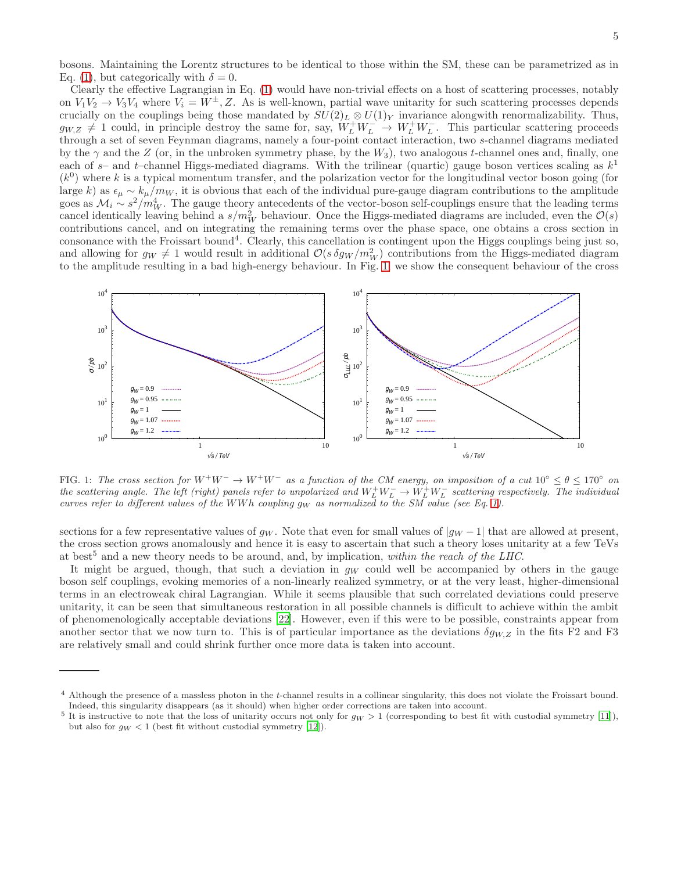bosons. Maintaining the Lorentz structures to be identical to those within the SM, these can be parametrized as in Eq. [\(1\)](#page-1-1), but categorically with  $\delta = 0$ .

Clearly the effective Lagrangian in Eq. [\(1\)](#page-1-1) would have non-trivial effects on a host of scattering processes, notably on  $V_1V_2 \rightarrow V_3V_4$  where  $V_i = W^{\pm}$ , Z. As is well-known, partial wave unitarity for such scattering processes depends crucially on the couplings being those mandated by  $SU(2)_L \otimes U(1)_Y$  invariance alongwith renormalizability. Thus,  $g_{W,Z} \neq 1$  could, in principle destroy the same for, say,  $W_L^+ W_L^- \to W_L^+ W_L^-$ . This particular scattering proceeds through a set of seven Feynman diagrams, namely a four-point contact interaction, two s-channel diagrams mediated by the  $\gamma$  and the Z (or, in the unbroken symmetry phase, by the  $W_3$ ), two analogous t-channel ones and, finally, one each of s- and t-channel Higgs-mediated diagrams. With the trilinear (quartic) gauge boson vertices scaling as  $k^1$  $(k<sup>0</sup>)$  where k is a typical momentum transfer, and the polarization vector for the longitudinal vector boson going (for large k) as  $\epsilon_{\mu} \sim k_{\mu}/m_W$ , it is obvious that each of the individual pure-gauge diagram contributions to the amplitude goes as  $\mathcal{M}_i \sim s^2/m_W^4$ . The gauge theory antecedents of the vector-boson self-couplings ensure that the leading terms cancel identically leaving behind a  $s/m_W^2$  behaviour. Once the Higgs-mediated diagrams are included, even the  $\mathcal{O}(s)$ contributions cancel, and on integrating the remaining terms over the phase space, one obtains a cross section in consonance with the Froissart bound<sup>4</sup>. Clearly, this cancellation is contingent upon the Higgs couplings being just so, and allowing for  $g_W \neq 1$  would result in additional  $\mathcal{O}(s \delta g_W / m_W^2)$  contributions from the Higgs-mediated diagram to the amplitude resulting in a bad high-energy behaviour. In Fig. [1,](#page-4-0) we show the consequent behaviour of the cross



<span id="page-4-0"></span>FIG. 1: The cross section for  $W^+W^-\to W^+W^-$  as a function of the CM energy, on imposition of a cut  $10°\leq \theta \leq 170°$  on the scattering angle. The left (right) panels refer to unpolarized and  $W_L^+W_L^- \to W_L^+W_L^-$  scattering respectively. The individual curves refer to different values of the WWh coupling  $g_W$  as normalized to the SM value (see Eq. [1\)](#page-1-1).

sections for a few representative values of  $g_W$ . Note that even for small values of  $|g_W - 1|$  that are allowed at present, the cross section grows anomalously and hence it is easy to ascertain that such a theory loses unitarity at a few TeVs at best<sup>5</sup> and a new theory needs to be around, and, by implication, *within the reach of the LHC*.

It might be argued, though, that such a deviation in  $g_W$  could well be accompanied by others in the gauge boson self couplings, evoking memories of a non-linearly realized symmetry, or at the very least, higher-dimensional terms in an electroweak chiral Lagrangian. While it seems plausible that such correlated deviations could preserve unitarity, it can be seen that simultaneous restoration in all possible channels is difficult to achieve within the ambit of phenomenologically acceptable deviations [\[22](#page-14-15)]. However, even if this were to be possible, constraints appear from another sector that we now turn to. This is of particular importance as the deviations  $\delta g_{W,Z}$  in the fits F2 and F3 are relatively small and could shrink further once more data is taken into account.

<sup>4</sup> Although the presence of a massless photon in the t-channel results in a collinear singularity, this does not violate the Froissart bound. Indeed, this singularity disappears (as it should) when higher order corrections are taken into account.

<sup>&</sup>lt;sup>5</sup> It is instructive to note that the loss of unitarity occurs not only for  $g_W > 1$  (corresponding to best fit with custodial symmetry [\[11](#page-14-4)]), but also for  $q_W < 1$  (best fit without custodial symmetry [\[12\]](#page-14-6)).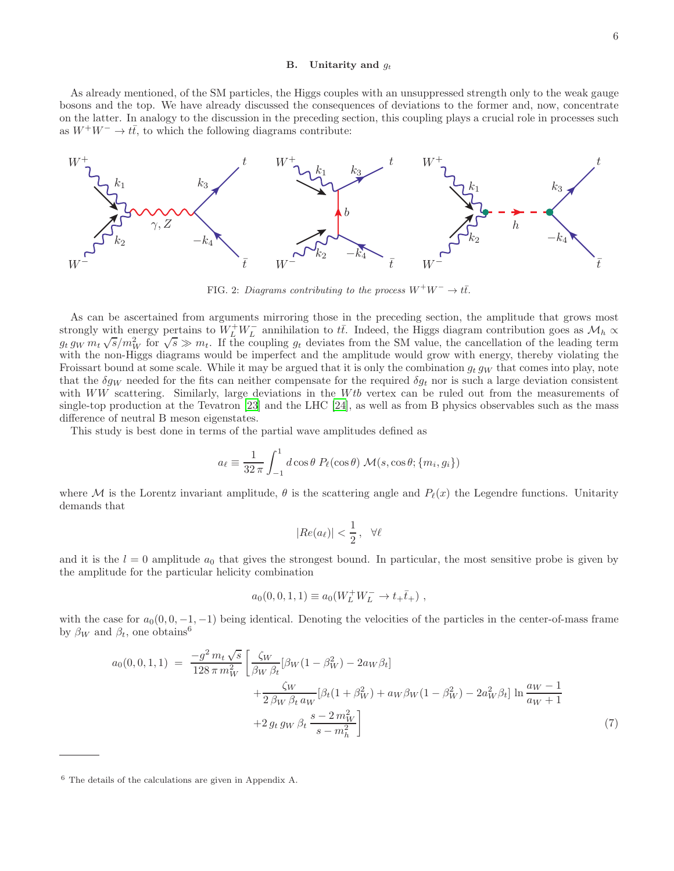#### B. Unitarity and  $g_t$

As already mentioned, of the SM particles, the Higgs couples with an unsuppressed strength only to the weak gauge bosons and the top. We have already discussed the consequences of deviations to the former and, now, concentrate on the latter. In analogy to the discussion in the preceding section, this coupling plays a crucial role in processes such as  $W^+W^- \to t\bar{t}$ , to which the following diagrams contribute:



FIG. 2: Diagrams contributing to the process  $W^+W^- \to t\bar{t}$ .

As can be ascertained from arguments mirroring those in the preceding section, the amplitude that grows most strongly with energy pertains to  $W_L^+ W_L^-$  annihilation to  $t\bar{t}$ . Indeed, the Higgs diagram contribution goes as  $\mathcal{M}_h \propto$ gt gw  $m_t \sqrt{s/m_W^2}$  for  $\sqrt{s} \gg m_t$ . If the coupling  $g_t$  deviates from the SM value, the cancellation of the leading term with the non-Higgs diagrams would be imperfect and the amplitude would grow with energy, thereby violating the Froissart bound at some scale. While it may be argued that it is only the combination  $g_t g_W$  that comes into play, note that the  $\delta g_W$  needed for the fits can neither compensate for the required  $\delta g_t$  nor is such a large deviation consistent with  $WW$  scattering. Similarly, large deviations in the  $Wtb$  vertex can be ruled out from the measurements of single-top production at the Tevatron [\[23\]](#page-14-16) and the LHC [\[24](#page-14-17)], as well as from B physics observables such as the mass difference of neutral B meson eigenstates.

This study is best done in terms of the partial wave amplitudes defined as

$$
a_{\ell} \equiv \frac{1}{32 \pi} \int_{-1}^{1} d \cos \theta \ P_{\ell}(\cos \theta) \ \mathcal{M}(s, \cos \theta; \{m_i, g_i\})
$$

where M is the Lorentz invariant amplitude,  $\theta$  is the scattering angle and  $P_{\ell}(x)$  the Legendre functions. Unitarity demands that

$$
|Re(a_{\ell})| < \frac{1}{2}, \quad \forall \ell
$$

and it is the  $l = 0$  amplitude  $a_0$  that gives the strongest bound. In particular, the most sensitive probe is given by the amplitude for the particular helicity combination

$$
a_0(0,0,1,1) \equiv a_0(W_L^+ W_L^- \to t_+ \bar t_+) ,
$$

with the case for  $a_0(0, 0, -1, -1)$  being identical. Denoting the velocities of the particles in the center-of-mass frame by  $\beta_W$  and  $\beta_t$ , one obtains<sup>6</sup>

<span id="page-5-0"></span>
$$
a_0(0,0,1,1) = \frac{-g^2 m_t \sqrt{s}}{128 \pi m_W^2} \left[ \frac{\zeta_W}{\beta_W \beta_t} [\beta_W (1 - \beta_W^2) - 2a_W \beta_t] + \frac{\zeta_W}{2 \beta_W \beta_t a_W} [\beta_t (1 + \beta_W^2) + a_W \beta_W (1 - \beta_W^2) - 2a_W^2 \beta_t] \ln \frac{a_W - 1}{a_W + 1} + 2g_t g_W \beta_t \frac{s - 2m_W^2}{s - m_h^2} \right]
$$
(7)

<sup>6</sup> The details of the calculations are given in Appendix A.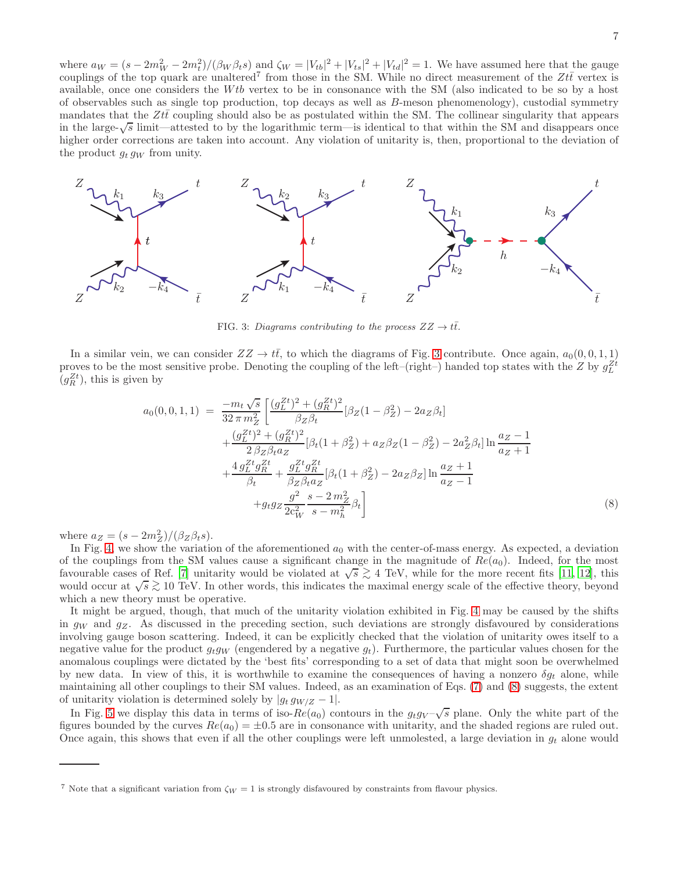where  $a_W = (s - 2m_W^2 - 2m_t^2)/(\beta_W \beta_t s)$  and  $\zeta_W = |V_{tb}|^2 + |V_{ts}|^2 + |V_{td}|^2 = 1$ . We have assumed here that the gauge couplings of the top quark are unaltered<sup>7</sup> from those in the SM. While no direct measurement of the  $Zt\bar{t}$  vertex is available, once one considers the Wtb vertex to be in consonance with the SM (also indicated to be so by a host of observables such as single top production, top decays as well as B-meson phenomenology), custodial symmetry mandates that the  $Zt\bar{t}$  coupling should also be as postulated within the SM. The collinear singularity that appears in the large- $\sqrt{s}$  limit—attested to by the logarithmic term—is identical to that within the SM and disappears once higher order corrections are taken into account. Any violation of unitarity is, then, proportional to the deviation of the product  $q_t q_W$  from unity.



<span id="page-6-0"></span>FIG. 3: Diagrams contributing to the process  $ZZ \to t\bar{t}$ .

In a similar vein, we can consider  $ZZ \to t\bar{t}$ , to which the diagrams of Fig. [3](#page-6-0) contribute. Once again,  $a_0(0, 0, 1, 1)$ proves to be the most sensitive probe. Denoting the coupling of the left–(right–) handed top states with the Z by  $g_L^{Zt}$  $(g_R^{Zt})$ , this is given by

<span id="page-6-1"></span>
$$
a_0(0,0,1,1) = \frac{-m_t \sqrt{s}}{32 \pi m_Z^2} \left[ \frac{(g_L^Zt)^2 + (g_R^Zt)^2}{\beta_Z \beta_t} [\beta_Z(1-\beta_Z^2) - 2a_Z \beta_t] + \frac{(g_L^Zt)^2 + (g_R^Zt)^2}{2 \beta_Z \beta_t a_Z} [\beta_t(1+\beta_Z^2) + a_Z \beta_Z(1-\beta_Z^2) - 2a_Z^2 \beta_t] \ln \frac{a_Z - 1}{a_Z + 1} + \frac{4g_L^Zt g_R^Zt}{\beta_t} + \frac{g_L^Zt g_R^Zt}{\beta_Z \beta_t a_Z} [\beta_t(1+\beta_Z^2) - 2a_Z \beta_Z] \ln \frac{a_Z + 1}{a_Z - 1} + g_t g_Z \frac{g^2}{2c_W^2} \frac{s - 2m_Z^2}{s - m_h^2} \beta_t \right]
$$
(8)

where  $a_Z = (s - 2m_Z^2)/(\beta_Z \beta_t s)$ .

In Fig. [4,](#page-7-1) we show the variation of the aforementioned  $a_0$  with the center-of-mass energy. As expected, a deviation of the couplings from the SM values cause a significant change in the magnitude of  $Re(a_0)$ . Indeed, for the most favourable cases of Ref. [\[7](#page-14-0)] unitarity would be violated at  $\sqrt{s} \gtrsim 4$  TeV, while for the more recent fits [\[11,](#page-14-4) [12\]](#page-14-6), this would get the  $\sqrt{s} \gtrsim 10$  TeV. would occur at  $\sqrt{s} \gtrsim 10$  TeV. In other words, this indicates the maximal energy scale of the effective theory, beyond which a new theory must be operative. which a new theory must be operative.

It might be argued, though, that much of the unitarity violation exhibited in Fig. [4](#page-7-1) may be caused by the shifts in  $g_W$  and  $g_Z$ . As discussed in the preceding section, such deviations are strongly disfavoured by considerations involving gauge boson scattering. Indeed, it can be explicitly checked that the violation of unitarity owes itself to a negative value for the product  $g_t g_W$  (engendered by a negative  $g_t$ ). Furthermore, the particular values chosen for the anomalous couplings were dictated by the 'best fits' corresponding to a set of data that might soon be overwhelmed by new data. In view of this, it is worthwhile to examine the consequences of having a nonzero  $\delta g_t$  alone, while maintaining all other couplings to their SM values. Indeed, as an examination of Eqs. [\(7\)](#page-5-0) and [\(8\)](#page-6-1) suggests, the extent of unitarity violation is determined solely by  $|g_t g_{W/Z} - 1|$ .

In Fig. [5](#page-7-2) we display this data in terms of iso- $Re(a_0)$  contours in the  $g_t g_V - \sqrt{s}$  plane. Only the white part of the figures bounded by the curves  $Re(a_0) = \pm 0.5$  are in consonance with unitarity, and the shaded regions are ruled out. Once again, this shows that even if all the other couplings were left unmolested, a large deviation in  $g_t$  alone would

<sup>&</sup>lt;sup>7</sup> Note that a significant variation from  $\zeta_W = 1$  is strongly disfavoured by constraints from flavour physics.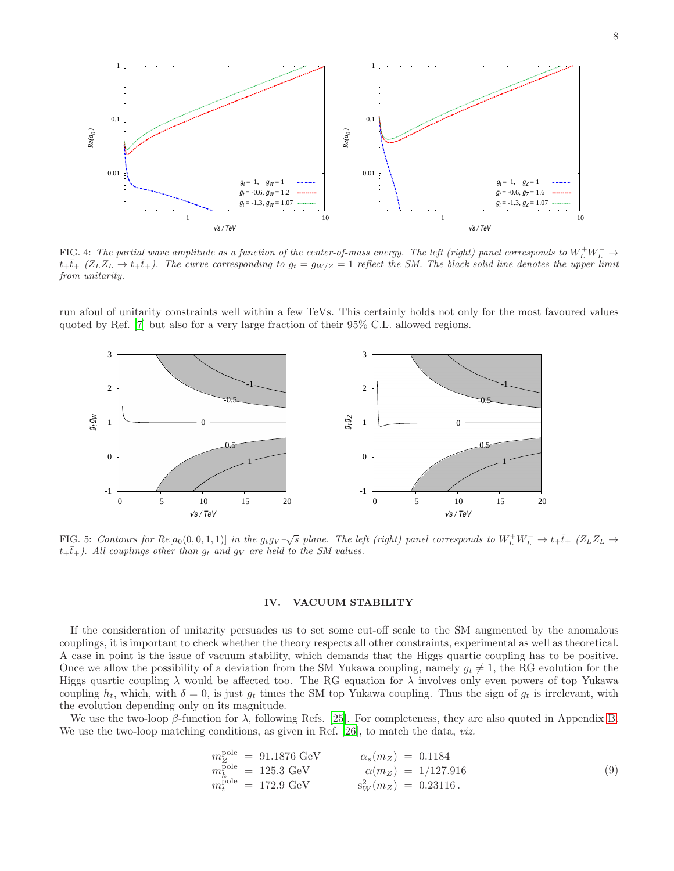

<span id="page-7-1"></span>FIG. 4: The partial wave amplitude as a function of the center-of-mass energy. The left (right) panel corresponds to  $W_L^+W_L^- \rightarrow$  $t_+\bar{t}_+$  (Z<sub>L</sub>Z<sub>L</sub>  $\rightarrow t_+\bar{t}_+$ ). The curve corresponding to  $g_t = g_{W/Z} = 1$  reflect the SM. The black solid line denotes the upper limit from unitarity.

run afoul of unitarity constraints well within a few TeVs. This certainly holds not only for the most favoured values quoted by Ref. [\[7](#page-14-0)] but also for a very large fraction of their 95% C.L. allowed regions.



<span id="page-7-2"></span>FIG. 5: Contours for  $Re[a_0(0,0,1,1)]$  in the g<sub>t</sub>g<sub>V</sub>  $\sqrt{s}$  plane. The left (right) panel corresponds to  $W_L^+ W_L^- \to t_+ \bar{t}_+$  (Z<sub>L</sub>Z<sub>L</sub>  $\to$  $t_+\bar{t}_+$ ). All couplings other than  $g_t$  and  $g_V$  are held to the SM values.

# <span id="page-7-0"></span>IV. VACUUM STABILITY

If the consideration of unitarity persuades us to set some cut-off scale to the SM augmented by the anomalous couplings, it is important to check whether the theory respects all other constraints, experimental as well as theoretical. A case in point is the issue of vacuum stability, which demands that the Higgs quartic coupling has to be positive. Once we allow the possibility of a deviation from the SM Yukawa coupling, namely  $g_t \neq 1$ , the RG evolution for the Higgs quartic coupling  $\lambda$  would be affected too. The RG equation for  $\lambda$  involves only even powers of top Yukawa coupling  $h_t$ , which, with  $\delta = 0$ , is just  $g_t$  times the SM top Yukawa coupling. Thus the sign of  $g_t$  is irrelevant, with the evolution depending only on its magnitude.

We use the two-loop  $\beta$ -function for  $\lambda$ , following Refs. [\[25\]](#page-14-18). For completeness, they are also quoted in Appendix [B.](#page-12-0) We use the two-loop matching conditions, as given in Ref. [\[26\]](#page-14-19), to match the data, *viz.* 

$$
m_Z^{\text{pole}} = 91.1876 \text{ GeV} \qquad \alpha_s(m_Z) = 0.1184 \n m_L^{\text{pole}} = 125.3 \text{ GeV} \qquad \alpha(m_Z) = 1/127.916 \n m_t^{\text{pole}} = 172.9 \text{ GeV} \qquad s_W^2(m_Z) = 0.23116.
$$
\n(9)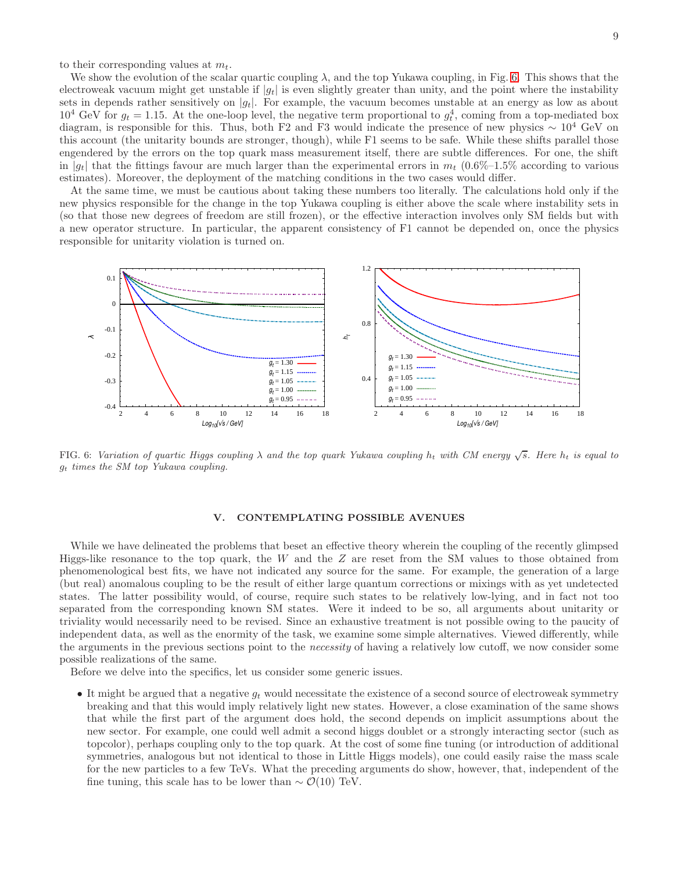to their corresponding values at  $m_t$ .

We show the evolution of the scalar quartic coupling  $\lambda$ , and the top Yukawa coupling, in Fig. [6.](#page-8-1) This shows that the electroweak vacuum might get unstable if  $|g_t|$  is even slightly greater than unity, and the point where the instability sets in depends rather sensitively on  $|g_t|$ . For example, the vacuum becomes unstable at an energy as low as about  $10^4$  GeV for  $g_t = 1.15$ . At the one-loop level, the negative term proportional to  $g_t^4$ , coming from a top-mediated box diagram, is responsible for this. Thus, both F2 and F3 would indicate the presence of new physics  $\sim 10^4$  GeV on this account (the unitarity bounds are stronger, though), while F1 seems to be safe. While these shifts parallel those engendered by the errors on the top quark mass measurement itself, there are subtle differences. For one, the shift in  $|q_t|$  that the fittings favour are much larger than the experimental errors in  $m_t$  (0.6%–1.5% according to various estimates). Moreover, the deployment of the matching conditions in the two cases would differ.

At the same time, we must be cautious about taking these numbers too literally. The calculations hold only if the new physics responsible for the change in the top Yukawa coupling is either above the scale where instability sets in (so that those new degrees of freedom are still frozen), or the effective interaction involves only SM fields but with a new operator structure. In particular, the apparent consistency of F1 cannot be depended on, once the physics responsible for unitarity violation is turned on.



<span id="page-8-1"></span>FIG. 6: Variation of quartic Higgs coupling  $\lambda$  and the top quark Yukawa coupling  $h_t$  with CM energy  $\sqrt{s}$ . Here  $h_t$  is equal to  $q_t$  times the SM top Yukawa coupling.

### <span id="page-8-0"></span>V. CONTEMPLATING POSSIBLE AVENUES

While we have delineated the problems that beset an effective theory wherein the coupling of the recently glimpsed Higgs-like resonance to the top quark, the W and the Z are reset from the SM values to those obtained from phenomenological best fits, we have not indicated any source for the same. For example, the generation of a large (but real) anomalous coupling to be the result of either large quantum corrections or mixings with as yet undetected states. The latter possibility would, of course, require such states to be relatively low-lying, and in fact not too separated from the corresponding known SM states. Were it indeed to be so, all arguments about unitarity or triviality would necessarily need to be revised. Since an exhaustive treatment is not possible owing to the paucity of independent data, as well as the enormity of the task, we examine some simple alternatives. Viewed differently, while the arguments in the previous sections point to the *necessity* of having a relatively low cutoff, we now consider some possible realizations of the same.

Before we delve into the specifics, let us consider some generic issues.

• It might be argued that a negative  $g_t$  would necessitate the existence of a second source of electroweak symmetry breaking and that this would imply relatively light new states. However, a close examination of the same shows that while the first part of the argument does hold, the second depends on implicit assumptions about the new sector. For example, one could well admit a second higgs doublet or a strongly interacting sector (such as topcolor), perhaps coupling only to the top quark. At the cost of some fine tuning (or introduction of additional symmetries, analogous but not identical to those in Little Higgs models), one could easily raise the mass scale for the new particles to a few TeVs. What the preceding arguments do show, however, that, independent of the fine tuning, this scale has to be lower than  $\sim \mathcal{O}(10)$  TeV.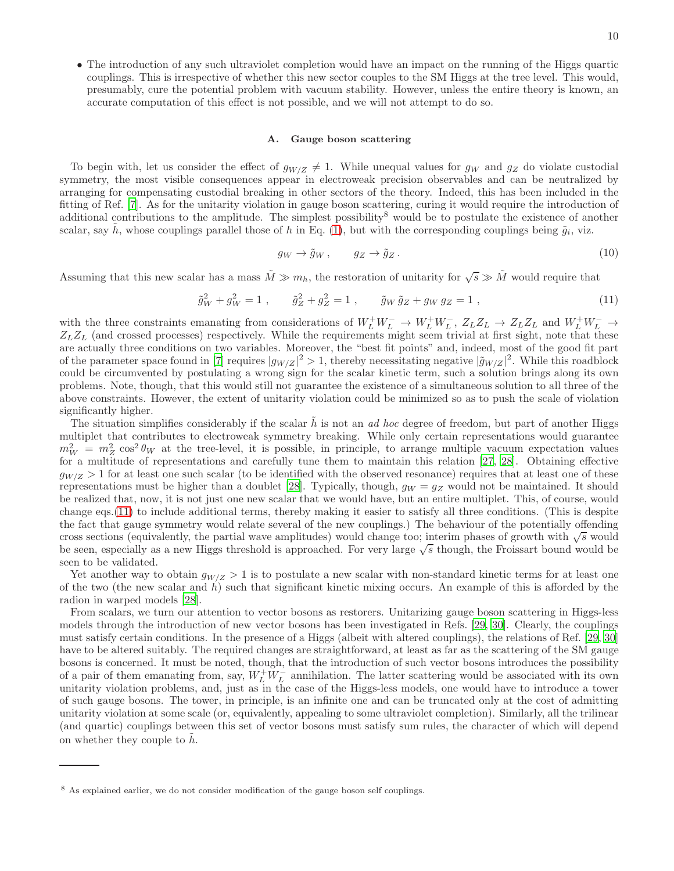• The introduction of any such ultraviolet completion would have an impact on the running of the Higgs quartic couplings. This is irrespective of whether this new sector couples to the SM Higgs at the tree level. This would, presumably, cure the potential problem with vacuum stability. However, unless the entire theory is known, an accurate computation of this effect is not possible, and we will not attempt to do so.

### A. Gauge boson scattering

To begin with, let us consider the effect of  $g_{W/Z} \neq 1$ . While unequal values for  $g_W$  and  $g_Z$  do violate custodial symmetry, the most visible consequences appear in electroweak precision observables and can be neutralized by arranging for compensating custodial breaking in other sectors of the theory. Indeed, this has been included in the fitting of Ref. [\[7](#page-14-0)]. As for the unitarity violation in gauge boson scattering, curing it would require the introduction of additional contributions to the amplitude. The simplest possibility<sup>8</sup> would be to postulate the existence of another scalar, say  $\tilde{h}$ , whose couplings parallel those of h in Eq. [\(1\)](#page-1-1), but with the corresponding couplings being  $\tilde{g}_i$ , viz.

$$
g_W \to \tilde{g}_W, \qquad g_Z \to \tilde{g}_Z. \tag{10}
$$

Assuming that this new scalar has a mass  $\tilde{M} \gg m_h$ , the restoration of unitarity for  $\sqrt{s} \gg \tilde{M}$  would require that

<span id="page-9-0"></span>
$$
\tilde{g}_W^2 + g_W^2 = 1 , \qquad \tilde{g}_Z^2 + g_Z^2 = 1 , \qquad \tilde{g}_W \, \tilde{g}_Z + g_W \, g_Z = 1 , \tag{11}
$$

with the three constraints emanating from considerations of  $W_L^+ W_L^- \to W_L^+ W_L^-$ ,  $Z_L Z_L \to Z_L Z_L$  and  $W_L^+ W_L^- \to$  $Z_LZ_L$  (and crossed processes) respectively. While the requirements might seem trivial at first sight, note that these are actually three conditions on two variables. Moreover, the "best fit points" and, indeed, most of the good fit part of the parameter space found in [\[7](#page-14-0)] requires  $|g_{W/Z}|^2 > 1$ , thereby necessitating negative  $|\tilde{g}_{W/Z}|^2$ . While this roadblock could be circumvented by postulating a wrong sign for the scalar kinetic term, such a solution brings along its own problems. Note, though, that this would still not guarantee the existence of a simultaneous solution to all three of the above constraints. However, the extent of unitarity violation could be minimized so as to push the scale of violation significantly higher.

The situation simplifies considerably if the scalar  $\tilde{h}$  is not an ad hoc degree of freedom, but part of another Higgs multiplet that contributes to electroweak symmetry breaking. While only certain representations would guarantee  $m_W^2 = m_Z^2 \cos^2 \theta_W$  at the tree-level, it is possible, in principle, to arrange multiple vacuum expectation values for a multitude of representations and carefully tune them to maintain this relation [\[27,](#page-14-20) [28\]](#page-14-21). Obtaining effective  $g_{W/Z} > 1$  for at least one such scalar (to be identified with the observed resonance) requires that at least one of these representations must be higher than a doublet [\[28](#page-14-21)]. Typically, though,  $g_W = g_Z$  would not be maintained. It should be realized that, now, it is not just one new scalar that we would have, but an entire multiplet. This, of course, would change eqs.[\(11\)](#page-9-0) to include additional terms, thereby making it easier to satisfy all three conditions. (This is despite the fact that gauge symmetry would relate several of the new couplings.) The behaviour of the potentially offending cross sections (equivalently, the partial wave amplitudes) would change too; interim phases of growth with  $\sqrt{s}$  would be seen, especially as a new Higgs threshold is approached. For very large  $\sqrt{s}$  though, the Froissart bound would be seen to be validated.

Yet another way to obtain  $g_{W/Z} > 1$  is to postulate a new scalar with non-standard kinetic terms for at least one of the two (the new scalar and  $\hat{h}$ ) such that significant kinetic mixing occurs. An example of this is afforded by the radion in warped models [\[28\]](#page-14-21).

From scalars, we turn our attention to vector bosons as restorers. Unitarizing gauge boson scattering in Higgs-less models through the introduction of new vector bosons has been investigated in Refs. [\[29,](#page-14-22) [30](#page-14-23)]. Clearly, the couplings must satisfy certain conditions. In the presence of a Higgs (albeit with altered couplings), the relations of Ref. [\[29,](#page-14-22) [30](#page-14-23)] have to be altered suitably. The required changes are straightforward, at least as far as the scattering of the SM gauge bosons is concerned. It must be noted, though, that the introduction of such vector bosons introduces the possibility of a pair of them emanating from, say,  $W_L^+ \tilde{W}_L^-$  annihilation. The latter scattering would be associated with its own unitarity violation problems, and, just as in the case of the Higgs-less models, one would have to introduce a tower of such gauge bosons. The tower, in principle, is an infinite one and can be truncated only at the cost of admitting unitarity violation at some scale (or, equivalently, appealing to some ultraviolet completion). Similarly, all the trilinear (and quartic) couplings between this set of vector bosons must satisfy sum rules, the character of which will depend on whether they couple to  $\tilde{h}$ .

<sup>8</sup> As explained earlier, we do not consider modification of the gauge boson self couplings.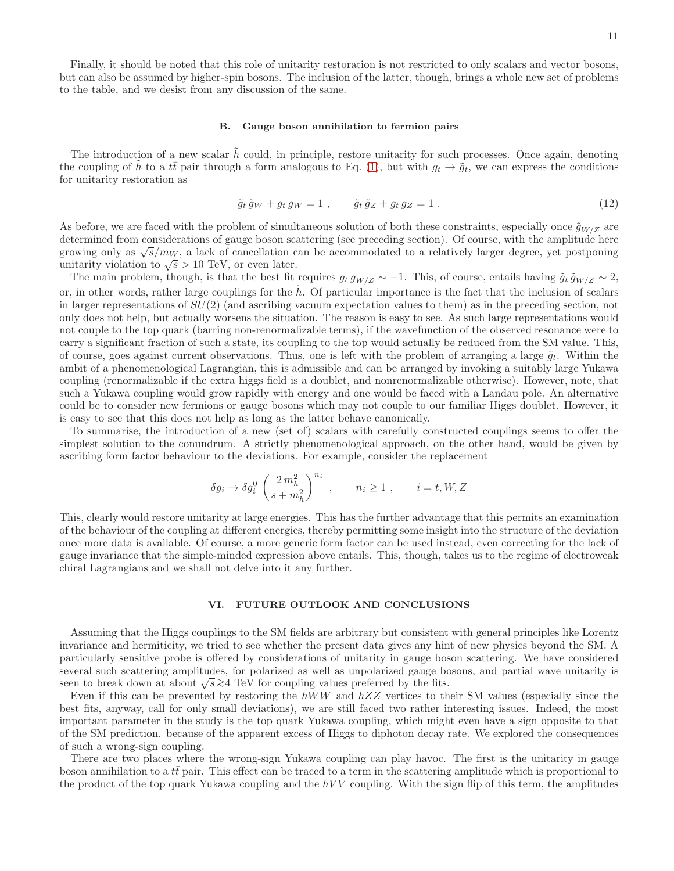Finally, it should be noted that this role of unitarity restoration is not restricted to only scalars and vector bosons, but can also be assumed by higher-spin bosons. The inclusion of the latter, though, brings a whole new set of problems to the table, and we desist from any discussion of the same.

### B. Gauge boson annihilation to fermion pairs

The introduction of a new scalar  $\tilde{h}$  could, in principle, restore unitarity for such processes. Once again, denoting the coupling of h to a  $t\bar{t}$  pair through a form analogous to Eq. [\(1\)](#page-1-1), but with  $g_t \to \tilde{g}_t$ , we can express the conditions for unitarity restoration as

$$
\tilde{g}_t \tilde{g}_W + g_t g_W = 1 , \qquad \tilde{g}_t \tilde{g}_Z + g_t g_Z = 1 . \qquad (12)
$$

As before, we are faced with the problem of simultaneous solution of both these constraints, especially once  $\tilde{g}_{W/Z}$  are determined from considerations of gauge boson scattering (see preceding section). Of course, with the amplitude here growing only as  $\sqrt{s}/m_W$ , a lack of cancellation can be accommodated to a relatively larger degree, yet postponing unitarity violation to  $\sqrt{s} > 10$  TeV, or even later.

The main problem, though, is that the best fit requires  $g_t g_{W/Z} \sim -1$ . This, of course, entails having  $\tilde{g}_t \tilde{g}_{W/Z} \sim 2$ , or, in other words, rather large couplings for the  $h$ . Of particular importance is the fact that the inclusion of scalars in larger representations of  $SU(2)$  (and ascribing vacuum expectation values to them) as in the preceding section, not only does not help, but actually worsens the situation. The reason is easy to see. As such large representations would not couple to the top quark (barring non-renormalizable terms), if the wavefunction of the observed resonance were to carry a significant fraction of such a state, its coupling to the top would actually be reduced from the SM value. This, of course, goes against current observations. Thus, one is left with the problem of arranging a large  $\tilde{g}_t$ . Within the ambit of a phenomenological Lagrangian, this is admissible and can be arranged by invoking a suitably large Yukawa coupling (renormalizable if the extra higgs field is a doublet, and nonrenormalizable otherwise). However, note, that such a Yukawa coupling would grow rapidly with energy and one would be faced with a Landau pole. An alternative could be to consider new fermions or gauge bosons which may not couple to our familiar Higgs doublet. However, it is easy to see that this does not help as long as the latter behave canonically.

To summarise, the introduction of a new (set of) scalars with carefully constructed couplings seems to offer the simplest solution to the conundrum. A strictly phenomenological approach, on the other hand, would be given by ascribing form factor behaviour to the deviations. For example, consider the replacement

$$
\delta g_i \to \delta g_i^0 \left(\frac{2 m_h^2}{s + m_h^2}\right)^{n_i} , \qquad n_i \ge 1 , \qquad i = t, W, Z
$$

This, clearly would restore unitarity at large energies. This has the further advantage that this permits an examination of the behaviour of the coupling at different energies, thereby permitting some insight into the structure of the deviation once more data is available. Of course, a more generic form factor can be used instead, even correcting for the lack of gauge invariance that the simple-minded expression above entails. This, though, takes us to the regime of electroweak chiral Lagrangians and we shall not delve into it any further.

# <span id="page-10-0"></span>VI. FUTURE OUTLOOK AND CONCLUSIONS

Assuming that the Higgs couplings to the SM fields are arbitrary but consistent with general principles like Lorentz invariance and hermiticity, we tried to see whether the present data gives any hint of new physics beyond the SM. A particularly sensitive probe is offered by considerations of unitarity in gauge boson scattering. We have considered several such scattering amplitudes, for polarized as well as unpolarized gauge bosons, and partial wave unitarity is seen to break down at about  $\sqrt{s} \gtrsim 4$  TeV for coupling values preferred by the fits.

Even if this can be prevented by restoring the  $hWW$  and  $hZZ$  vertices to their SM values (especially since the best fits, anyway, call for only small deviations), we are still faced two rather interesting issues. Indeed, the most important parameter in the study is the top quark Yukawa coupling, which might even have a sign opposite to that of the SM prediction. because of the apparent excess of Higgs to diphoton decay rate. We explored the consequences of such a wrong-sign coupling.

There are two places where the wrong-sign Yukawa coupling can play havoc. The first is the unitarity in gauge boson annihilation to a tt pair. This effect can be traced to a term in the scattering amplitude which is proportional to the product of the top quark Yukawa coupling and the  $hVV$  coupling. With the sign flip of this term, the amplitudes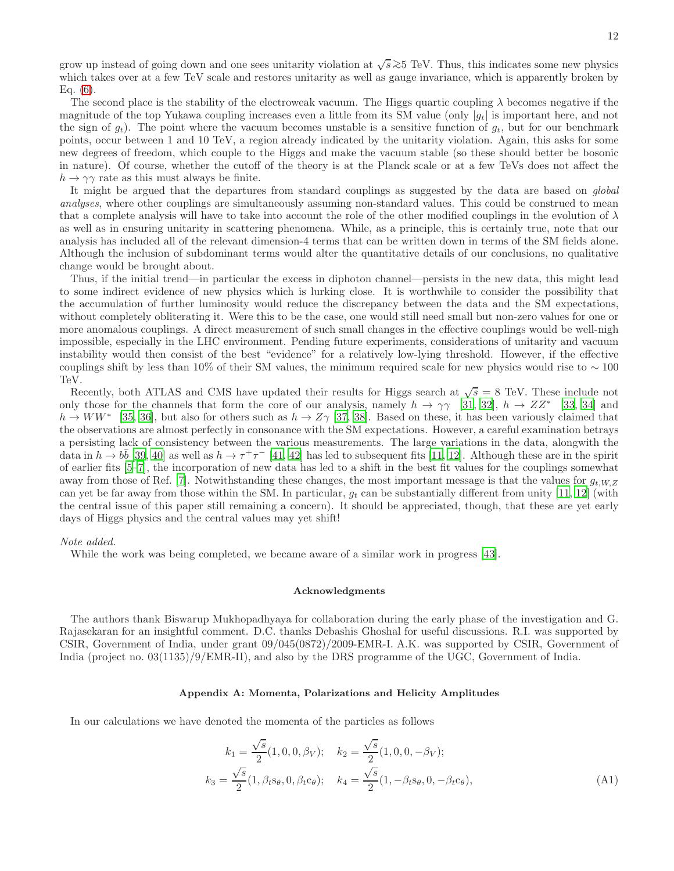grow up instead of going down and one sees unitarity violation at  $\sqrt{s} \gtrsim 5$  TeV. Thus, this indicates some new physics which takes over at a few TeV scale and restores unitarity as well as gauge invariance, which is apparently broken by Eq. [\(6\)](#page-3-1).

The second place is the stability of the electroweak vacuum. The Higgs quartic coupling  $\lambda$  becomes negative if the magnitude of the top Yukawa coupling increases even a little from its SM value (only  $|g_t|$  is important here, and not the sign of  $g_t$ ). The point where the vacuum becomes unstable is a sensitive function of  $g_t$ , but for our benchmark points, occur between 1 and 10 TeV, a region already indicated by the unitarity violation. Again, this asks for some new degrees of freedom, which couple to the Higgs and make the vacuum stable (so these should better be bosonic in nature). Of course, whether the cutoff of the theory is at the Planck scale or at a few TeVs does not affect the  $h \to \gamma \gamma$  rate as this must always be finite.

It might be argued that the departures from standard couplings as suggested by the data are based on global analyses, where other couplings are simultaneously assuming non-standard values. This could be construed to mean that a complete analysis will have to take into account the role of the other modified couplings in the evolution of  $\lambda$ as well as in ensuring unitarity in scattering phenomena. While, as a principle, this is certainly true, note that our analysis has included all of the relevant dimension-4 terms that can be written down in terms of the SM fields alone. Although the inclusion of subdominant terms would alter the quantitative details of our conclusions, no qualitative change would be brought about.

Thus, if the initial trend—in particular the excess in diphoton channel—persists in the new data, this might lead to some indirect evidence of new physics which is lurking close. It is worthwhile to consider the possibility that the accumulation of further luminosity would reduce the discrepancy between the data and the SM expectations, without completely obliterating it. Were this to be the case, one would still need small but non-zero values for one or more anomalous couplings. A direct measurement of such small changes in the effective couplings would be well-nigh impossible, especially in the LHC environment. Pending future experiments, considerations of unitarity and vacuum instability would then consist of the best "evidence" for a relatively low-lying threshold. However, if the effective couplings shift by less than 10% of their SM values, the minimum required scale for new physics would rise to  $\sim 100$ TeV.

Recently, both ATLAS and CMS have updated their results for Higgs search at  $\sqrt{s} = 8$  TeV. These include not only those for the channels that form the core of our analysis, namely  $h \to \gamma \gamma$  [\[31](#page-14-24), [32](#page-14-25)],  $h \to ZZ^*$  [\[33](#page-14-26), [34](#page-14-27)] and  $h \to WW^*$  [\[35](#page-14-28), [36](#page-14-29)], but also for others such as  $h \to Z\gamma$  [\[37,](#page-14-30) [38\]](#page-14-31). Based on these, it has been variously claimed that the observations are almost perfectly in consonance with the SM expectations. However, a careful examination betrays a persisting lack of consistency between the various measurements. The large variations in the data, alongwith the data in  $h \to b\bar{b}$  [\[39,](#page-14-32) [40\]](#page-14-33) as well as  $h \to \tau^+\tau^-$  [\[41,](#page-14-34) [42\]](#page-14-35) has led to subsequent fits [\[11,](#page-14-4) [12\]](#page-14-6). Although these are in the spirit of earlier fits [\[5](#page-13-4)[–7](#page-14-0)], the incorporation of new data has led to a shift in the best fit values for the couplings somewhat away from those of Ref. [\[7](#page-14-0)]. Notwithstanding these changes, the most important message is that the values for  $g_{t,W,Z}$ can yet be far away from those within the SM. In particular,  $g_t$  can be substantially different from unity [\[11,](#page-14-4) [12](#page-14-6)] (with the central issue of this paper still remaining a concern). It should be appreciated, though, that these are yet early days of Higgs physics and the central values may yet shift!

#### Note added.

While the work was being completed, we became aware of a similar work in progress [\[43\]](#page-14-36).

#### Acknowledgments

The authors thank Biswarup Mukhopadhyaya for collaboration during the early phase of the investigation and G. Rajasekaran for an insightful comment. D.C. thanks Debashis Ghoshal for useful discussions. R.I. was supported by CSIR, Government of India, under grant 09/045(0872)/2009-EMR-I. A.K. was supported by CSIR, Government of India (project no. 03(1135)/9/EMR-II), and also by the DRS programme of the UGC, Government of India.

#### Appendix A: Momenta, Polarizations and Helicity Amplitudes

In our calculations we have denoted the momenta of the particles as follows

<span id="page-11-0"></span>
$$
k_1 = \frac{\sqrt{s}}{2}(1, 0, 0, \beta_V); \quad k_2 = \frac{\sqrt{s}}{2}(1, 0, 0, -\beta_V);
$$
  

$$
k_3 = \frac{\sqrt{s}}{2}(1, \beta_t s_\theta, 0, \beta_t c_\theta); \quad k_4 = \frac{\sqrt{s}}{2}(1, -\beta_t s_\theta, 0, -\beta_t c_\theta),
$$
 (A1)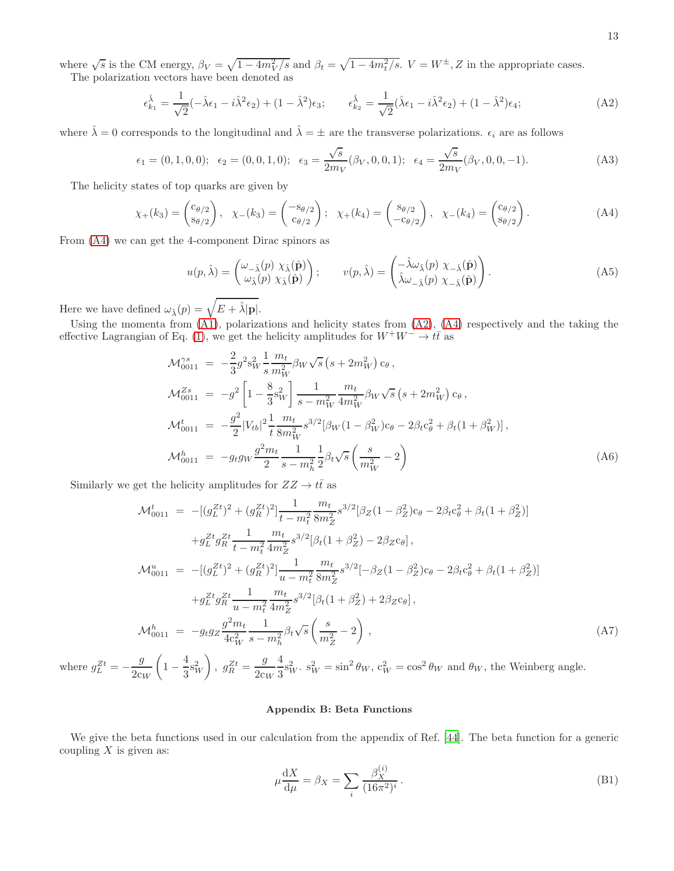13

where  $\sqrt{s}$  is the CM energy,  $\beta_V = \sqrt{1 - 4m_V^2/s}$  and  $\beta_t = \sqrt{1 - 4m_t^2/s}$ .  $V = W^{\pm}$ , Z in the appropriate cases. The polarization vectors have been denoted as

<span id="page-12-2"></span>
$$
\epsilon_{k_1}^{\hat{\lambda}} = \frac{1}{\sqrt{2}} (-\hat{\lambda} \epsilon_1 - i \hat{\lambda}^2 \epsilon_2) + (1 - \hat{\lambda}^2) \epsilon_3; \qquad \epsilon_{k_2}^{\hat{\lambda}} = \frac{1}{\sqrt{2}} (\hat{\lambda} \epsilon_1 - i \hat{\lambda}^2 \epsilon_2) + (1 - \hat{\lambda}^2) \epsilon_4; \tag{A2}
$$

where  $\hat{\lambda} = 0$  corresponds to the longitudinal and  $\hat{\lambda} = \pm$  are the transverse polarizations.  $\epsilon_i$  are as follows

$$
\epsilon_1 = (0, 1, 0, 0); \quad \epsilon_2 = (0, 0, 1, 0); \quad \epsilon_3 = \frac{\sqrt{s}}{2m_V} (\beta_V, 0, 0, 1); \quad \epsilon_4 = \frac{\sqrt{s}}{2m_V} (\beta_V, 0, 0, -1).
$$
 (A3)

The helicity states of top quarks are given by

<span id="page-12-1"></span>
$$
\chi_+(k_3) = \begin{pmatrix} c_{\theta/2} \\ s_{\theta/2} \end{pmatrix}, \quad \chi_-(k_3) = \begin{pmatrix} -s_{\theta/2} \\ c_{\theta/2} \end{pmatrix}; \quad \chi_+(k_4) = \begin{pmatrix} s_{\theta/2} \\ -c_{\theta/2} \end{pmatrix}, \quad \chi_-(k_4) = \begin{pmatrix} c_{\theta/2} \\ s_{\theta/2} \end{pmatrix}.
$$
 (A4)

From [\(A4\)](#page-12-1) we can get the 4-component Dirac spinors as

$$
u(p,\hat{\lambda}) = \begin{pmatrix} \omega_{-\hat{\lambda}}(p) \ \chi_{\hat{\lambda}}(\hat{\mathbf{p}}) \\ \omega_{\hat{\lambda}}(p) \ \chi_{\hat{\lambda}}(\hat{\mathbf{p}}) \end{pmatrix}; \qquad v(p,\hat{\lambda}) = \begin{pmatrix} -\hat{\lambda}\omega_{\hat{\lambda}}(p) \ \chi_{-\hat{\lambda}}(\hat{\mathbf{p}}) \\ \hat{\lambda}\omega_{-\hat{\lambda}}(p) \ \chi_{-\hat{\lambda}}(\hat{\mathbf{p}}) \end{pmatrix}.
$$
 (A5)

Here we have defined  $\omega_{\hat{\lambda}}(p) = \sqrt{E + \hat{\lambda}|\mathbf{p}|}.$ 

Using the momenta from  $(A1)$ , polarizations and helicity states from  $(A2)$ ,  $(A4)$  respectively and the taking the effective Lagrangian of Eq. [\(1\)](#page-1-1), we get the helicity amplitudes for  $W^+W^- \to t\bar{t}$  as

$$
\mathcal{M}_{0011}^{\gamma s} = -\frac{2}{3} g^2 s_W^2 \frac{1}{s} \frac{m_t}{m_W^2} \beta_W \sqrt{s} \left( s + 2m_W^2 \right) c_\theta ,
$$
\n
$$
\mathcal{M}_{0011}^{Zs} = -g^2 \left[ 1 - \frac{8}{3} s_W^2 \right] \frac{1}{s - m_W^2} \frac{m_t}{4m_W^2} \beta_W \sqrt{s} \left( s + 2m_W^2 \right) c_\theta ,
$$
\n
$$
\mathcal{M}_{0011}^t = -\frac{g^2}{2} |V_{tb}|^2 \frac{1}{t} \frac{m_t}{8m_W^2} s^{3/2} [\beta_W (1 - \beta_W^2) c_\theta - 2\beta_t c_\theta^2 + \beta_t (1 + \beta_W^2)],
$$
\n
$$
\mathcal{M}_{0011}^h = -g_t g_W \frac{g^2 m_t}{2} \frac{1}{s - m_h^2} \frac{1}{2} \beta_t \sqrt{s} \left( \frac{s}{m_W^2} - 2 \right) \tag{A6}
$$

Similarly we get the helicity amplitudes for  $ZZ \to t\bar{t}$  as

$$
\mathcal{M}_{0011}^{t} = -[(g_{L}^{Zt})^{2} + (g_{R}^{Zt})^{2}] \frac{1}{t - m_{t}^{2}} \frac{m_{t}}{8m_{Z}^{2}} s^{3/2} [\beta_{Z}(1 - \beta_{Z}^{2})c_{\theta} - 2\beta_{t}c_{\theta}^{2} + \beta_{t}(1 + \beta_{Z}^{2})] \n+ g_{L}^{Zt} g_{R}^{Zt} \frac{1}{t - m_{t}^{2}} \frac{m_{t}}{4m_{Z}^{2}} s^{3/2} [\beta_{t}(1 + \beta_{Z}^{2}) - 2\beta_{Z}c_{\theta}], \n\mathcal{M}_{0011}^{u} = -[(g_{L}^{Zt})^{2} + (g_{R}^{Zt})^{2}] \frac{1}{u - m_{t}^{2}} \frac{m_{t}}{8m_{Z}^{2}} s^{3/2} [-\beta_{Z}(1 - \beta_{Z}^{2})c_{\theta} - 2\beta_{t}c_{\theta}^{2} + \beta_{t}(1 + \beta_{Z}^{2})] \n+ g_{L}^{Zt} g_{R}^{Zt} \frac{1}{u - m_{t}^{2}} \frac{m_{t}}{4m_{Z}^{2}} s^{3/2} [\beta_{t}(1 + \beta_{Z}^{2}) + 2\beta_{Z}c_{\theta}], \n\mathcal{M}_{0011}^{h} = -g_{t}g_{Z} \frac{g^{2}m_{t}}{4c_{W}^{2}} \frac{1}{s - m_{h}^{2}} \beta_{t} \sqrt{s} \left( \frac{s}{m_{Z}^{2}} - 2 \right), \tag{A7}
$$

where  $g_L^{Zt} = -\frac{g}{2c_1}$  $2c_W$  $\left(1-\frac{4}{3}\right)$  $rac{1}{3}$ s<sup>2</sup><sub>W</sub>  $\Bigg), \ g_R^{Zt} = \frac{g}{2c}$  $2c_W$ 4  $\frac{4}{3}$ s<sup>2</sup><sub>*W*</sub> = sin<sup>2</sup>  $\theta_W$ , c<sup>2</sup><sub>*W*</sub> = cos<sup>2</sup>  $\theta_W$  and  $\theta_W$ , the Weinberg angle.

### <span id="page-12-0"></span>Appendix B: Beta Functions

We give the beta functions used in our calculation from the appendix of Ref. [\[44\]](#page-14-37). The beta function for a generic coupling  $X$  is given as:

$$
\mu \frac{\mathrm{d}X}{\mathrm{d}\mu} = \beta_X = \sum_{i} \frac{\beta_X^{(i)}}{(16\pi^2)^i} \,. \tag{B1}
$$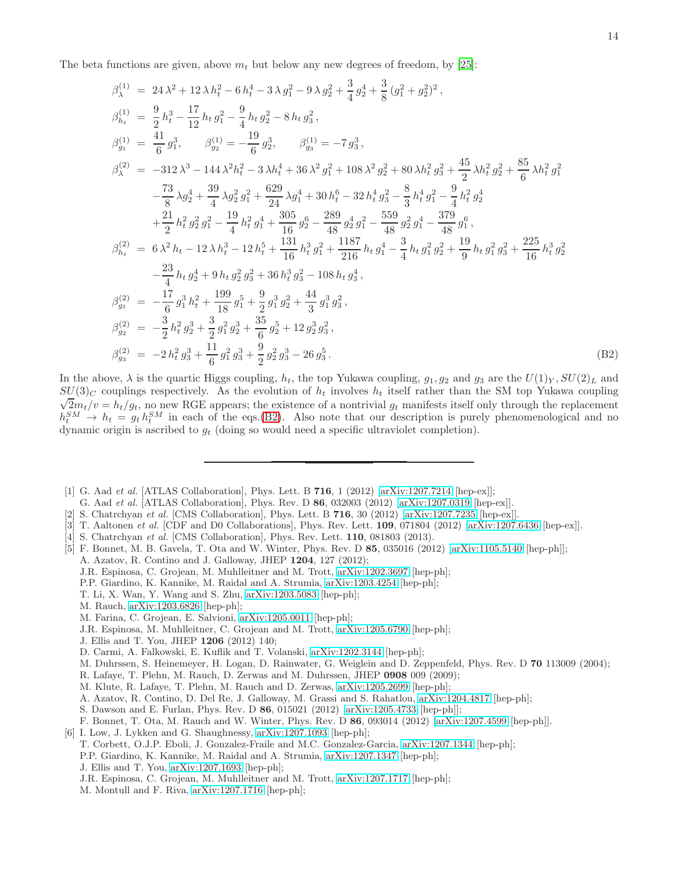The beta functions are given, above  $m_t$  but below any new degrees of freedom, by [\[25\]](#page-14-18):

<span id="page-13-5"></span>
$$
\beta_{\lambda}^{(1)} = 24\lambda^2 + 12\lambda h_t^2 - 6h_t^4 - 3\lambda g_1^2 - 9\lambda g_2^2 + \frac{3}{4}g_2^4 + \frac{3}{8}(g_1^2 + g_2^2)^2,
$$
\n
$$
\beta_{h_t}^{(1)} = \frac{9}{2}h_t^3 - \frac{17}{12}h_t g_1^2 - \frac{9}{4}h_t g_2^2 - 8h_t g_3^2,
$$
\n
$$
\beta_{g_1}^{(1)} = \frac{41}{6}g_1^3, \qquad \beta_{g_2}^{(1)} = -\frac{19}{6}g_2^3, \qquad \beta_{g_3}^{(1)} = -7g_3^3,
$$
\n
$$
\beta_{\lambda}^{(2)} = -312\lambda^3 - 144\lambda^2 h_t^2 - 3\lambda h_t^4 + 36\lambda^2 g_1^2 + 108\lambda^2 g_2^2 + 80\lambda h_t^2 g_3^2 + \frac{45}{2}\lambda h_t^2 g_2^2 + \frac{85}{6}\lambda h_t^2 g_1^2
$$
\n
$$
-\frac{73}{8}\lambda g_2^4 + \frac{39}{4}\lambda g_2^2 g_1^2 + \frac{629}{24}\lambda g_1^4 + 30h_t^6 - 32h_t^4 g_3^2 - \frac{8}{3}h_t^4 g_1^2 - \frac{9}{4}h_t^2 g_2^4
$$
\n
$$
+\frac{21}{2}h_t^2 g_2^2 g_1^2 - \frac{19}{4}h_t^2 g_1^4 + \frac{305}{16}g_2^6 - \frac{289}{48}g_2^4 g_1^2 - \frac{559}{48}g_2^2 g_1^4 - \frac{379}{48}g_1^6,
$$
\n
$$
\beta_{h_t}^{(2)} = 6\lambda^2 h_t - 12\lambda h_t^3 - 12h_t^5 + \frac{131}{16}h_t^3 g_1^2 + \frac{1187}{216}h_t g_1^4 - \frac{3}{4}h_t g_1^2 g_2^2 + \frac{19}{9}h_t g_1^2 g_3^2 + \frac{225}{16}h_t^
$$

In the above,  $\lambda$  is the quartic Higgs coupling,  $h_t$ , the top Yukawa coupling,  $g_1, g_2$  and  $g_3$  are the  $U(1)_Y, SU(2)_L$  and  $SU(3)_C$  couplings respectively. As the evolution of  $h_t$  involves  $h_t$  itself rather than the SM top Yukawa coupling  $\sqrt{2}m_t/v = h_t/g_t$ , no new RGE appears; the existence of a nontrivial  $g_t$  manifests itself only through the replacement  $h_t^{SM} \to h_t = g_t h_t^{SM}$  in each of the eqs.[\(B2\)](#page-13-5). Also note that our description is purely phenomenological and no dynamic origin is ascribed to  $g_t$  (doing so would need a specific ultraviolet completion).

- <span id="page-13-0"></span>[1] G. Aad *et al.* [ATLAS Collaboration], Phys. Lett. B **716**, 1 (2012) [\[arXiv:1207.7214](http://arxiv.org/abs/1207.7214) [hep-ex]];
- G. Aad et al. [ATLAS Collaboration], Phys. Rev. D 86, 032003 (2012) [\[arXiv:1207.0319](http://arxiv.org/abs/1207.0319) [hep-ex]].
- <span id="page-13-1"></span>[2] S. Chatrchyan et al. [CMS Collaboration], Phys. Lett. B **716**, 30 (2012) [\[arXiv:1207.7235](http://arxiv.org/abs/1207.7235) [hep-ex]].
- <span id="page-13-2"></span>[3] T. Aaltonen et al. [CDF and D0 Collaborations], Phys. Rev. Lett.  $109$ , 071804 (2012) [\[arXiv:1207.6436](http://arxiv.org/abs/1207.6436) [hep-ex]].
- <span id="page-13-3"></span>[4] S. Chatrchyan et al. [CMS Collaboration], Phys. Rev. Lett. 110, 081803 (2013).
- <span id="page-13-4"></span>[5] F. Bonnet, M. B. Gavela, T. Ota and W. Winter, Phys. Rev. D 85, 035016 (2012) [\[arXiv:1105.5140](http://arxiv.org/abs/1105.5140) [hep-ph]]; A. Azatov, R. Contino and J. Galloway, JHEP 1204, 127 (2012);
	- J.R. Espinosa, C. Grojean, M. Muhlleitner and M. Trott, [arXiv:1202.3697](http://arxiv.org/abs/1202.3697) [hep-ph];
	- P.P. Giardino, K. Kannike, M. Raidal and A. Strumia, [arXiv:1203.4254](http://arxiv.org/abs/1203.4254) [hep-ph];
	- T. Li, X. Wan, Y. Wang and S. Zhu, [arXiv:1203.5083](http://arxiv.org/abs/1203.5083) [hep-ph];
	- M. Rauch, [arXiv:1203.6826](http://arxiv.org/abs/1203.6826) [hep-ph];
	- M. Farina, C. Grojean, E. Salvioni, [arXiv:1205.0011](http://arxiv.org/abs/1205.0011) [hep-ph];
	- J.R. Espinosa, M. Muhlleitner, C. Grojean and M. Trott, [arXiv:1205.6790](http://arxiv.org/abs/1205.6790) [hep-ph];
	- J. Ellis and T. You, JHEP 1206 (2012) 140;
	- D. Carmi, A. Falkowski, E. Kuflik and T. Volanski, [arXiv:1202.3144](http://arxiv.org/abs/1202.3144) [hep-ph];
	- M. Duhrssen, S. Heinemeyer, H. Logan, D. Rainwater, G. Weiglein and D. Zeppenfeld, Phys. Rev. D 70 113009 (2004);
	- R. Lafaye, T. Plehn, M. Rauch, D. Zerwas and M. Duhrssen, JHEP 0908 009 (2009);
	- M. Klute, R. Lafaye, T. Plehn, M. Rauch and D. Zerwas, [arXiv:1205.2699](http://arxiv.org/abs/1205.2699) [hep-ph];
	- A. Azatov, R. Contino, D. Del Re, J. Galloway, M. Grassi and S. Rahatlou, [arXiv:1204.4817](http://arxiv.org/abs/1204.4817) [hep-ph];
	- S. Dawson and E. Furlan, Phys. Rev. D 86, 015021 (2012) [\[arXiv:1205.4733](http://arxiv.org/abs/1205.4733) [hep-ph]];
	- F. Bonnet, T. Ota, M. Rauch and W. Winter, Phys. Rev. D 86, 093014 (2012) [\[arXiv:1207.4599](http://arxiv.org/abs/1207.4599) [hep-ph]].
- [6] I. Low, J. Lykken and G. Shaughnessy, [arXiv:1207.1093](http://arxiv.org/abs/1207.1093) [hep-ph];
	- T. Corbett, O.J.P. Eboli, J. Gonzalez-Fraile and M.C. Gonzalez-Garcia, [arXiv:1207.1344](http://arxiv.org/abs/1207.1344) [hep-ph];
	- P.P. Giardino, K. Kannike, M. Raidal and A. Strumia, [arXiv:1207.1347](http://arxiv.org/abs/1207.1347) [hep-ph];
	- J. Ellis and T. You, [arXiv:1207.1693](http://arxiv.org/abs/1207.1693) [hep-ph];
	- J.R. Espinosa, C. Grojean, M. Muhlleitner and M. Trott, [arXiv:1207.1717](http://arxiv.org/abs/1207.1717) [hep-ph];
	- M. Montull and F. Riva, [arXiv:1207.1716](http://arxiv.org/abs/1207.1716) [hep-ph];